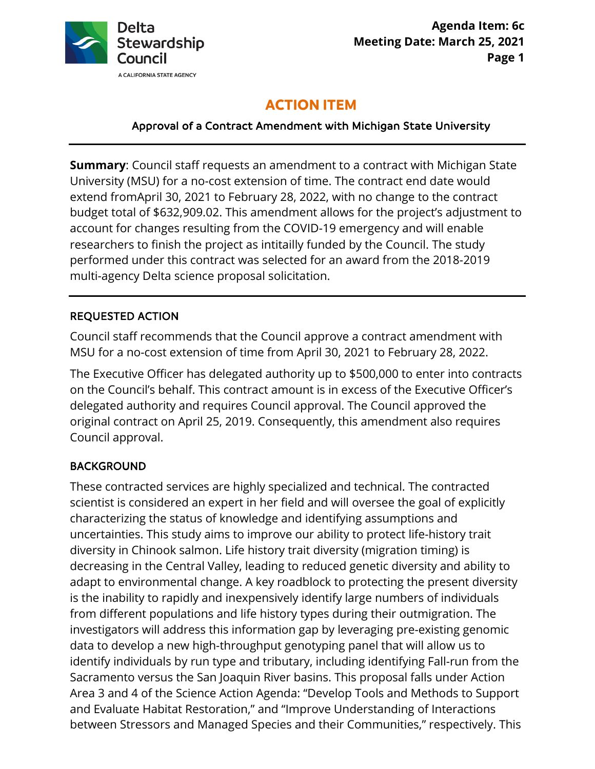

# **ACTION ITEM**

# Approval of a Contract Amendment with Michigan State University

 University (MSU) for a no-cost extension of time. The contract end date would extend fromApril 30, 2021 to February 28, 2022, with no change to the contract budget total of \$[632,909.02.](https://632,909.02) This amendment allows for the project's adjustment to **Summary**: Council staff requests an amendment to a contract with Michigan State account for changes resulting from the COVID-19 emergency and will enable researchers to finish the project as intitailly funded by the Council. The study performed under this contract was selected for an award from the 2018-2019 multi-agency Delta science proposal solicitation.

#### REQUESTED ACTION

 Council staff recommends that the Council approve a contract amendment with MSU for a no-cost extension of time from April 30, 2021 to February 28, 2022.

 on the Council's behalf. This contract amount is in excess of the Executive Officer's original contract on April 25, 2019. Consequently, this amendment also requires The Executive Officer has delegated authority up to \$500,000 to enter into contracts delegated authority and requires Council approval. The Council approved the Council approval.

#### **BACKGROUND**

 characterizing the status of knowledge and identifying assumptions and diversity in Chinook salmon. Life history trait diversity (migration timing) is decreasing in the Central Valley, leading to reduced genetic diversity and ability to data to develop a new high-throughput genotyping panel that will allow us to Area 3 and 4 of the Science Action Agenda: "Develop Tools and Methods to Support between Stressors and Managed Species and their Communities," respectively. This These contracted services are highly specialized and technical. The contracted scientist is considered an expert in her field and will oversee the goal of explicitly uncertainties. This study aims to improve our ability to protect life-history trait adapt to environmental change. A key roadblock to protecting the present diversity is the inability to rapidly and inexpensively identify large numbers of individuals from different populations and life history types during their outmigration. The investigators will address this information gap by leveraging pre-existing genomic identify individuals by run type and tributary, including identifying Fall-run from the Sacramento versus the San Joaquin River basins. This proposal falls under Action and Evaluate Habitat Restoration," and "Improve Understanding of Interactions